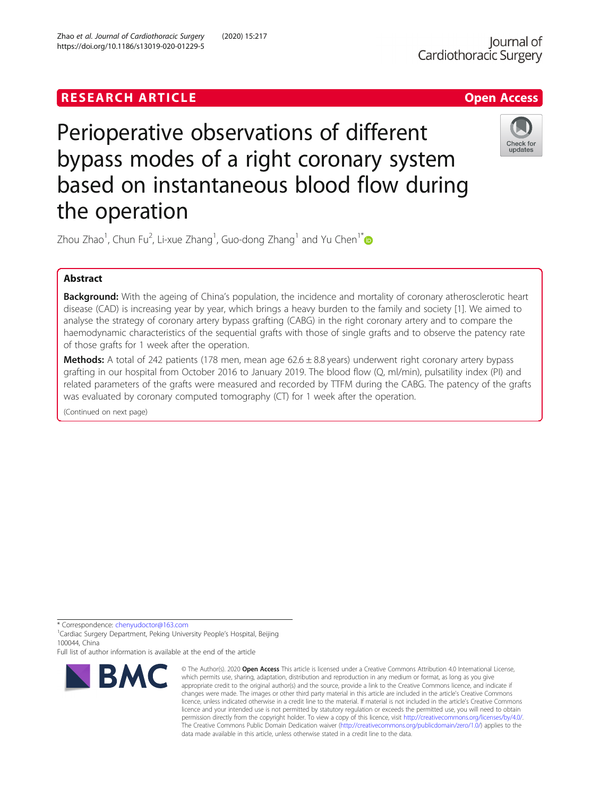## **RESEARCH ARTICLE Example 2018 12:30 The Contract of Contract ACCESS**



# Perioperative observations of different bypass modes of a right coronary system based on instantaneous blood flow during the operation



Zhou Zhao $^1$ , Chun Fu $^2$ , Li-xue Zhang $^1$ , Guo-dong Zhang $^1$  and Yu Chen $^1^\ast$ 

## Abstract

Background: With the ageing of China's population, the incidence and mortality of coronary atherosclerotic heart disease (CAD) is increasing year by year, which brings a heavy burden to the family and society [1]. We aimed to analyse the strategy of coronary artery bypass grafting (CABG) in the right coronary artery and to compare the haemodynamic characteristics of the sequential grafts with those of single grafts and to observe the patency rate of those grafts for 1 week after the operation.

**Methods:** A total of 242 patients (178 men, mean age  $62.6 \pm 8.8$  years) underwent right coronary artery bypass grafting in our hospital from October 2016 to January 2019. The blood flow (Q, ml/min), pulsatility index (PI) and related parameters of the grafts were measured and recorded by TTFM during the CABG. The patency of the grafts was evaluated by coronary computed tomography (CT) for 1 week after the operation.

(Continued on next page)

\* Correspondence: [chenyudoctor@163.com](mailto:chenyudoctor@163.com) <sup>1</sup>

<sup>1</sup> Cardiac Surgery Department, Peking University People's Hospital, Beijing 100044, China

Full list of author information is available at the end of the article



<sup>©</sup> The Author(s), 2020 **Open Access** This article is licensed under a Creative Commons Attribution 4.0 International License, which permits use, sharing, adaptation, distribution and reproduction in any medium or format, as long as you give appropriate credit to the original author(s) and the source, provide a link to the Creative Commons licence, and indicate if changes were made. The images or other third party material in this article are included in the article's Creative Commons licence, unless indicated otherwise in a credit line to the material. If material is not included in the article's Creative Commons licence and your intended use is not permitted by statutory regulation or exceeds the permitted use, you will need to obtain permission directly from the copyright holder. To view a copy of this licence, visit [http://creativecommons.org/licenses/by/4.0/.](http://creativecommons.org/licenses/by/4.0/) The Creative Commons Public Domain Dedication waiver [\(http://creativecommons.org/publicdomain/zero/1.0/](http://creativecommons.org/publicdomain/zero/1.0/)) applies to the data made available in this article, unless otherwise stated in a credit line to the data.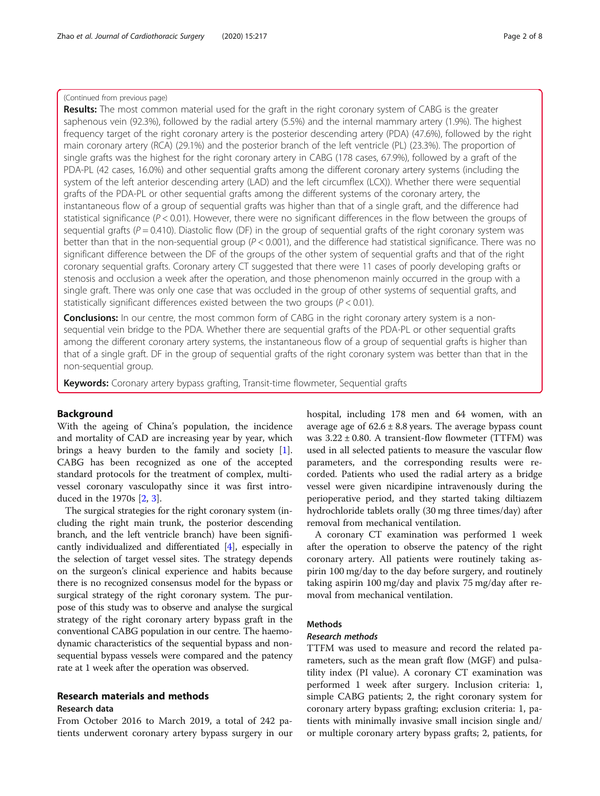## (Continued from previous page)

Results: The most common material used for the graft in the right coronary system of CABG is the greater saphenous vein (92.3%), followed by the radial artery (5.5%) and the internal mammary artery (1.9%). The highest frequency target of the right coronary artery is the posterior descending artery (PDA) (47.6%), followed by the right main coronary artery (RCA) (29.1%) and the posterior branch of the left ventricle (PL) (23.3%). The proportion of single grafts was the highest for the right coronary artery in CABG (178 cases, 67.9%), followed by a graft of the PDA-PL (42 cases, 16.0%) and other sequential grafts among the different coronary artery systems (including the system of the left anterior descending artery (LAD) and the left circumflex (LCX)). Whether there were sequential grafts of the PDA-PL or other sequential grafts among the different systems of the coronary artery, the instantaneous flow of a group of sequential grafts was higher than that of a single graft, and the difference had statistical significance ( $P < 0.01$ ). However, there were no significant differences in the flow between the groups of sequential grafts ( $P = 0.410$ ). Diastolic flow (DF) in the group of sequential grafts of the right coronary system was better than that in the non-sequential group  $(P < 0.001)$ , and the difference had statistical significance. There was no significant difference between the DF of the groups of the other system of sequential grafts and that of the right coronary sequential grafts. Coronary artery CT suggested that there were 11 cases of poorly developing grafts or stenosis and occlusion a week after the operation, and those phenomenon mainly occurred in the group with a single graft. There was only one case that was occluded in the group of other systems of sequential grafts, and statistically significant differences existed between the two groups ( $P < 0.01$ ).

**Conclusions:** In our centre, the most common form of CABG in the right coronary artery system is a nonsequential vein bridge to the PDA. Whether there are sequential grafts of the PDA-PL or other sequential grafts among the different coronary artery systems, the instantaneous flow of a group of sequential grafts is higher than that of a single graft. DF in the group of sequential grafts of the right coronary system was better than that in the non-sequential group.

Keywords: Coronary artery bypass grafting, Transit-time flowmeter, Sequential grafts

## Background

With the ageing of China's population, the incidence and mortality of CAD are increasing year by year, which brings a heavy burden to the family and society [\[1](#page-6-0)]. CABG has been recognized as one of the accepted standard protocols for the treatment of complex, multivessel coronary vasculopathy since it was first introduced in the 1970s [\[2](#page-6-0), [3](#page-6-0)].

The surgical strategies for the right coronary system (including the right main trunk, the posterior descending branch, and the left ventricle branch) have been significantly individualized and differentiated [[4](#page-6-0)], especially in the selection of target vessel sites. The strategy depends on the surgeon's clinical experience and habits because there is no recognized consensus model for the bypass or surgical strategy of the right coronary system. The purpose of this study was to observe and analyse the surgical strategy of the right coronary artery bypass graft in the conventional CABG population in our centre. The haemodynamic characteristics of the sequential bypass and nonsequential bypass vessels were compared and the patency rate at 1 week after the operation was observed.

## Research materials and methods

## Research data

From October 2016 to March 2019, a total of 242 patients underwent coronary artery bypass surgery in our hospital, including 178 men and 64 women, with an average age of  $62.6 \pm 8.8$  years. The average bypass count was  $3.22 \pm 0.80$ . A transient-flow flowmeter (TTFM) was used in all selected patients to measure the vascular flow parameters, and the corresponding results were recorded. Patients who used the radial artery as a bridge vessel were given nicardipine intravenously during the perioperative period, and they started taking diltiazem hydrochloride tablets orally (30 mg three times/day) after removal from mechanical ventilation.

A coronary CT examination was performed 1 week after the operation to observe the patency of the right coronary artery. All patients were routinely taking aspirin 100 mg/day to the day before surgery, and routinely taking aspirin 100 mg/day and plavix 75 mg/day after removal from mechanical ventilation.

## **Methods**

## Research methods

TTFM was used to measure and record the related parameters, such as the mean graft flow (MGF) and pulsatility index (PI value). A coronary CT examination was performed 1 week after surgery. Inclusion criteria: 1, simple CABG patients; 2, the right coronary system for coronary artery bypass grafting; exclusion criteria: 1, patients with minimally invasive small incision single and/ or multiple coronary artery bypass grafts; 2, patients, for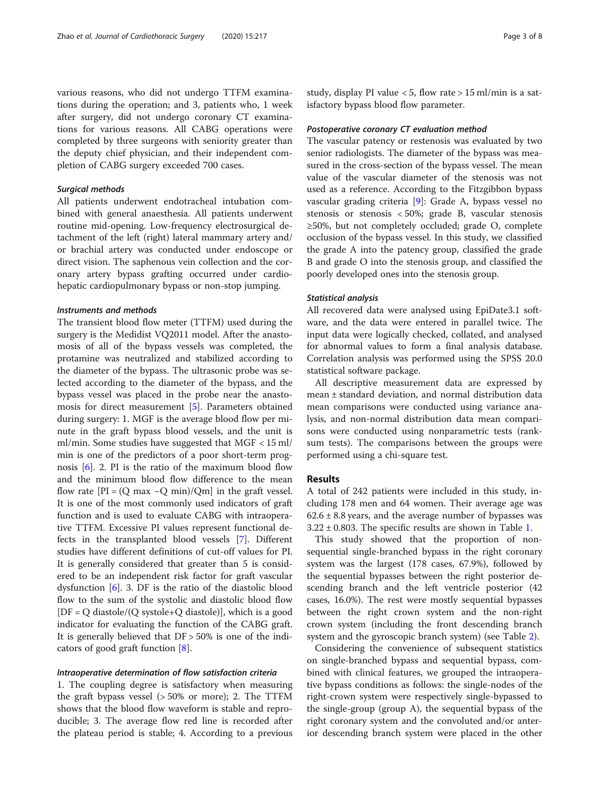tions during the operation; and 3, patients who, 1 week after surgery, did not undergo coronary CT examinations for various reasons. All CABG operations were completed by three surgeons with seniority greater than the deputy chief physician, and their independent completion of CABG surgery exceeded 700 cases.

#### Surgical methods

All patients underwent endotracheal intubation combined with general anaesthesia. All patients underwent routine mid-opening. Low-frequency electrosurgical detachment of the left (right) lateral mammary artery and/ or brachial artery was conducted under endoscope or direct vision. The saphenous vein collection and the coronary artery bypass grafting occurred under cardiohepatic cardiopulmonary bypass or non-stop jumping.

#### Instruments and methods

The transient blood flow meter (TTFM) used during the surgery is the Medidist VQ2011 model. After the anastomosis of all of the bypass vessels was completed, the protamine was neutralized and stabilized according to the diameter of the bypass. The ultrasonic probe was selected according to the diameter of the bypass, and the bypass vessel was placed in the probe near the anastomosis for direct measurement [[5\]](#page-6-0). Parameters obtained during surgery: 1. MGF is the average blood flow per minute in the graft bypass blood vessels, and the unit is ml/min. Some studies have suggested that MGF < 15 ml/ min is one of the predictors of a poor short-term prognosis [\[6](#page-6-0)]. 2. PI is the ratio of the maximum blood flow and the minimum blood flow difference to the mean flow rate  $[PI = (Q max -Q min)/Qm]$  in the graft vessel. It is one of the most commonly used indicators of graft function and is used to evaluate CABG with intraoperative TTFM. Excessive PI values represent functional defects in the transplanted blood vessels [[7\]](#page-6-0). Different studies have different definitions of cut-off values for PI. It is generally considered that greater than 5 is considered to be an independent risk factor for graft vascular dysfunction [\[6](#page-6-0)]. 3. DF is the ratio of the diastolic blood flow to the sum of the systolic and diastolic blood flow  $[DF = Q$  diastole/ $(Q$  systole+ $Q$  diastole)], which is a good indicator for evaluating the function of the CABG graft. It is generally believed that DF > 50% is one of the indicators of good graft function [\[8](#page-6-0)].

## Intraoperative determination of flow satisfaction criteria

1. The coupling degree is satisfactory when measuring the graft bypass vessel (> 50% or more); 2. The TTFM shows that the blood flow waveform is stable and reproducible; 3. The average flow red line is recorded after the plateau period is stable; 4. According to a previous study, display PI value < 5, flow rate > 15 ml/min is a satisfactory bypass blood flow parameter.

#### Postoperative coronary CT evaluation method

The vascular patency or restenosis was evaluated by two senior radiologists. The diameter of the bypass was measured in the cross-section of the bypass vessel. The mean value of the vascular diameter of the stenosis was not used as a reference. According to the Fitzgibbon bypass vascular grading criteria [[9\]](#page-6-0): Grade A, bypass vessel no stenosis or stenosis < 50%; grade B, vascular stenosis ≥50%, but not completely occluded; grade O, complete occlusion of the bypass vessel. In this study, we classified the grade A into the patency group, classified the grade B and grade O into the stenosis group, and classified the poorly developed ones into the stenosis group.

## Statistical analysis

All recovered data were analysed using EpiDate3.1 software, and the data were entered in parallel twice. The input data were logically checked, collated, and analysed for abnormal values to form a final analysis database. Correlation analysis was performed using the SPSS 20.0 statistical software package.

All descriptive measurement data are expressed by mean ± standard deviation, and normal distribution data mean comparisons were conducted using variance analysis, and non-normal distribution data mean comparisons were conducted using nonparametric tests (ranksum tests). The comparisons between the groups were performed using a chi-square test.

## Results

A total of 242 patients were included in this study, including 178 men and 64 women. Their average age was  $62.6 \pm 8.8$  years, and the average number of bypasses was  $3.22 \pm 0.803$ . The specific results are shown in Table [1.](#page-3-0)

This study showed that the proportion of nonsequential single-branched bypass in the right coronary system was the largest (178 cases, 67.9%), followed by the sequential bypasses between the right posterior descending branch and the left ventricle posterior (42 cases, 16.0%). The rest were mostly sequential bypasses between the right crown system and the non-right crown system (including the front descending branch system and the gyroscopic branch system) (see Table [2](#page-3-0)).

Considering the convenience of subsequent statistics on single-branched bypass and sequential bypass, combined with clinical features, we grouped the intraoperative bypass conditions as follows: the single-nodes of the right-crown system were respectively single-bypassed to the single-group (group A), the sequential bypass of the right coronary system and the convoluted and/or anterior descending branch system were placed in the other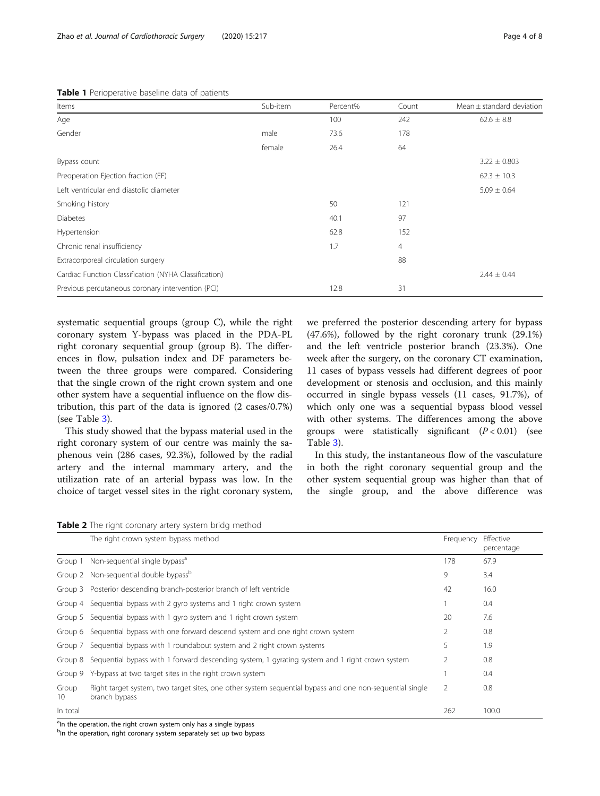<span id="page-3-0"></span>

| Items                                                 | Sub-item | Percent% | Count          | Mean $\pm$ standard deviation |
|-------------------------------------------------------|----------|----------|----------------|-------------------------------|
| Age                                                   |          | 100      | 242            | $62.6 \pm 8.8$                |
| Gender                                                | male     | 73.6     | 178            |                               |
|                                                       | female   | 26.4     | 64             |                               |
| Bypass count                                          |          |          |                | $3.22 \pm 0.803$              |
| Preoperation Ejection fraction (EF)                   |          |          |                | $62.3 \pm 10.3$               |
| Left ventricular end diastolic diameter               |          |          |                | $5.09 \pm 0.64$               |
| Smoking history                                       |          | 50       | 121            |                               |
| <b>Diabetes</b>                                       |          | 40.1     | 97             |                               |
| Hypertension                                          |          | 62.8     | 152            |                               |
| Chronic renal insufficiency                           |          | 1.7      | $\overline{4}$ |                               |
| Extracorporeal circulation surgery                    |          |          | 88             |                               |
| Cardiac Function Classification (NYHA Classification) |          |          |                | $2.44 \pm 0.44$               |
| Previous percutaneous coronary intervention (PCI)     |          | 12.8     | 31             |                               |
|                                                       |          |          |                |                               |

systematic sequential groups (group C), while the right coronary system Y-bypass was placed in the PDA-PL right coronary sequential group (group B). The differences in flow, pulsation index and DF parameters between the three groups were compared. Considering that the single crown of the right crown system and one other system have a sequential influence on the flow distribution, this part of the data is ignored (2 cases/0.7%) (see Table [3](#page-4-0)).

This study showed that the bypass material used in the right coronary system of our centre was mainly the saphenous vein (286 cases, 92.3%), followed by the radial artery and the internal mammary artery, and the utilization rate of an arterial bypass was low. In the choice of target vessel sites in the right coronary system, we preferred the posterior descending artery for bypass (47.6%), followed by the right coronary trunk (29.1%) and the left ventricle posterior branch (23.3%). One week after the surgery, on the coronary CT examination, 11 cases of bypass vessels had different degrees of poor development or stenosis and occlusion, and this mainly occurred in single bypass vessels (11 cases, 91.7%), of which only one was a sequential bypass blood vessel with other systems. The differences among the above groups were statistically significant  $(P < 0.01)$  (see Table [3\)](#page-4-0).

In this study, the instantaneous flow of the vasculature in both the right coronary sequential group and the other system sequential group was higher than that of the single group, and the above difference was

Table 2 The right coronary artery system bridg method

|             | The right crown system bypass method                                                                                     | Frequency | Effective<br>percentage |
|-------------|--------------------------------------------------------------------------------------------------------------------------|-----------|-------------------------|
| Group 1     | Non-sequential single bypass <sup>a</sup>                                                                                | 178       | 67.9                    |
|             | Group 2 Non-sequential double bypass <sup>b</sup>                                                                        | 9         | 3.4                     |
|             | Group 3 Posterior descending branch-posterior branch of left ventricle                                                   | 42        | 16.0                    |
|             | Group 4 Sequential bypass with 2 gyro systems and 1 right crown system                                                   |           | 0.4                     |
|             | Group 5 Sequential bypass with 1 gyro system and 1 right crown system                                                    | 20        | 7.6                     |
|             | Group 6 Sequential bypass with one forward descend system and one right crown system                                     | 2         | 0.8                     |
|             | Group 7 Sequential bypass with 1 roundabout system and 2 right crown systems                                             | 5         | 1.9                     |
| Group 8     | Sequential bypass with 1 forward descending system, 1 gyrating system and 1 right crown system                           | 2         | 0.8                     |
|             | Group 9 Y-bypass at two target sites in the right crown system                                                           |           | 0.4                     |
| Group<br>10 | Right target system, two target sites, one other system sequential bypass and one non-sequential single<br>branch bypass | 2         | 0.8                     |
| In total    |                                                                                                                          | 262       | 100.0                   |

<sup>a</sup>ln the operation, the right crown system only has a single bypass

bln the operation, right coronary system separately set up two bypass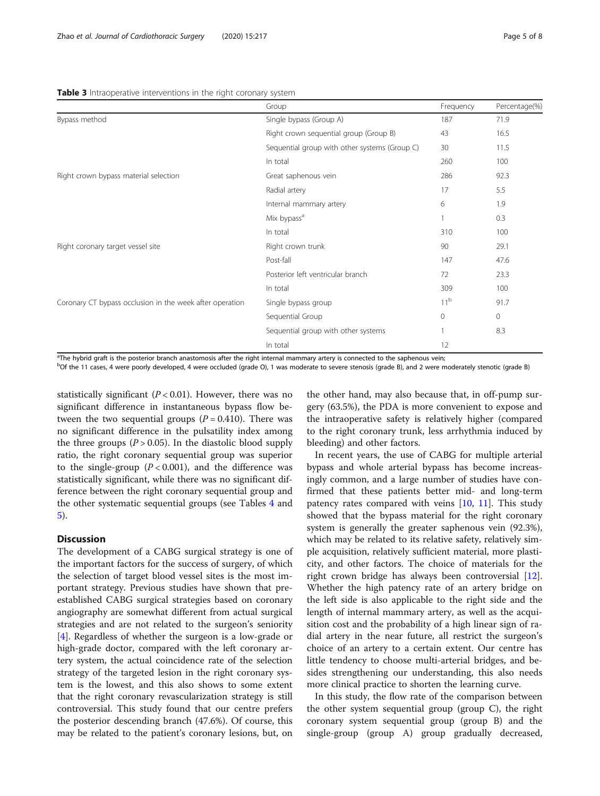| Group                                         | Frequency       | Percentage(%) |
|-----------------------------------------------|-----------------|---------------|
| Single bypass (Group A)                       | 187             | 71.9          |
| Right crown sequential group (Group B)        | 43              | 16.5          |
| Sequential group with other systems (Group C) | 30              | 11.5          |
| In total                                      | 260             | 100           |
| Great saphenous vein                          | 286             | 92.3          |
| Radial artery                                 | 17              | 5.5           |
| Internal mammary artery                       | 6               | 1.9           |
| Mix bypass <sup>a</sup>                       |                 | 0.3           |
| In total                                      | 310             | 100           |
| Right crown trunk                             | 90              | 29.1          |
| Post-fall                                     | 147             | 47.6          |
| Posterior left ventricular branch             | 72              | 23.3          |
| In total                                      | 309             | 100           |
| Single bypass group                           | 11 <sup>b</sup> | 91.7          |
| Sequential Group                              | $\mathbf{0}$    | $\circ$       |
| Sequential group with other systems           | 1               | 8.3           |
| In total                                      | 12              |               |
|                                               |                 |               |

#### <span id="page-4-0"></span>Table 3 Intraoperative interventions in the right coronary system

<sup>a</sup>The hybrid graft is the posterior branch anastomosis after the right internal mammary artery is connected to the saphenous vein;

b Of the 11 cases, 4 were poorly developed, 4 were occluded (grade O), 1 was moderate to severe stenosis (grade B), and 2 were moderately stenotic (grade B)

statistically significant ( $P < 0.01$ ). However, there was no significant difference in instantaneous bypass flow between the two sequential groups  $(P = 0.410)$ . There was no significant difference in the pulsatility index among the three groups ( $P > 0.05$ ). In the diastolic blood supply ratio, the right coronary sequential group was superior to the single-group  $(P < 0.001)$ , and the difference was statistically significant, while there was no significant difference between the right coronary sequential group and the other systematic sequential groups (see Tables [4](#page-5-0) and [5\)](#page-5-0).

## **Discussion**

The development of a CABG surgical strategy is one of the important factors for the success of surgery, of which the selection of target blood vessel sites is the most important strategy. Previous studies have shown that preestablished CABG surgical strategies based on coronary angiography are somewhat different from actual surgical strategies and are not related to the surgeon's seniority [[4\]](#page-6-0). Regardless of whether the surgeon is a low-grade or high-grade doctor, compared with the left coronary artery system, the actual coincidence rate of the selection strategy of the targeted lesion in the right coronary system is the lowest, and this also shows to some extent that the right coronary revascularization strategy is still controversial. This study found that our centre prefers the posterior descending branch (47.6%). Of course, this may be related to the patient's coronary lesions, but, on

the other hand, may also because that, in off-pump surgery (63.5%), the PDA is more convenient to expose and the intraoperative safety is relatively higher (compared to the right coronary trunk, less arrhythmia induced by bleeding) and other factors.

In recent years, the use of CABG for multiple arterial bypass and whole arterial bypass has become increasingly common, and a large number of studies have confirmed that these patients better mid- and long-term patency rates compared with veins [[10,](#page-6-0) [11\]](#page-6-0). This study showed that the bypass material for the right coronary system is generally the greater saphenous vein (92.3%), which may be related to its relative safety, relatively simple acquisition, relatively sufficient material, more plasticity, and other factors. The choice of materials for the right crown bridge has always been controversial [\[12](#page-7-0)]. Whether the high patency rate of an artery bridge on the left side is also applicable to the right side and the length of internal mammary artery, as well as the acquisition cost and the probability of a high linear sign of radial artery in the near future, all restrict the surgeon's choice of an artery to a certain extent. Our centre has little tendency to choose multi-arterial bridges, and besides strengthening our understanding, this also needs more clinical practice to shorten the learning curve.

In this study, the flow rate of the comparison between the other system sequential group (group C), the right coronary system sequential group (group B) and the single-group (group A) group gradually decreased,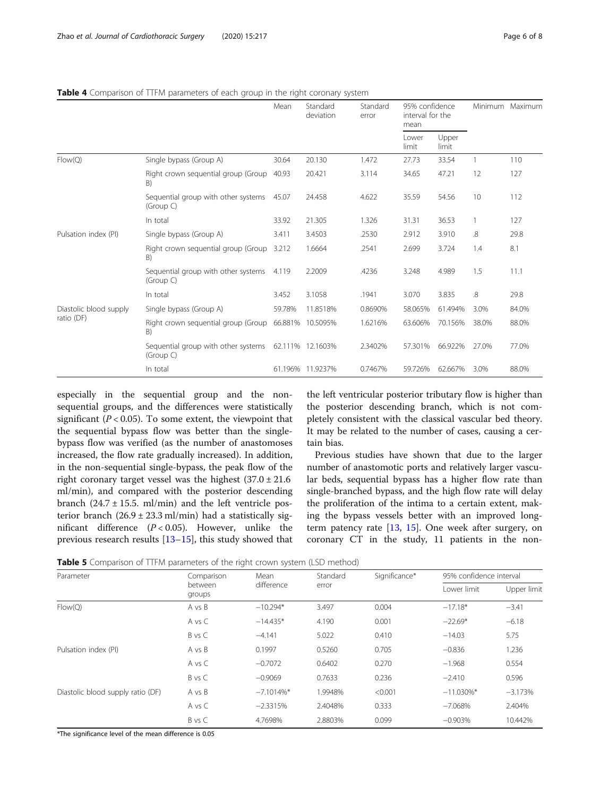|                                      |                                                  | Mean<br>Standard<br>Standard<br>deviation<br>error | 95% confidence<br>interval for the<br>mean |         |                | Minimum Maximum |       |       |
|--------------------------------------|--------------------------------------------------|----------------------------------------------------|--------------------------------------------|---------|----------------|-----------------|-------|-------|
|                                      |                                                  |                                                    |                                            |         | Lower<br>limit | Upper<br>limit  |       |       |
| Flow(Q)                              | Single bypass (Group A)                          | 30.64                                              | 20.130                                     | 1.472   | 27.73          | 33.54           |       | 110   |
|                                      | Right crown sequential group (Group<br>B)        | 40.93                                              | 20.421                                     | 3.114   | 34.65          | 47.21           | 12    | 127   |
|                                      | Sequential group with other systems<br>(Group C) | 45.07                                              | 24.458                                     | 4.622   | 35.59          | 54.56           | 10    | 112   |
|                                      | In total                                         | 33.92                                              | 21.305                                     | 1.326   | 31.31          | 36.53           |       | 127   |
| Pulsation index (PI)                 | Single bypass (Group A)                          | 3.411                                              | 3.4503                                     | .2530   | 2.912          | 3.910           | .8    | 29.8  |
|                                      | Right crown sequential group (Group<br>B)        | 3.212                                              | 1.6664                                     | .2541   | 2.699          | 3.724           | 1.4   | 8.1   |
|                                      | Sequential group with other systems<br>(Group C) | 4.119                                              | 2.2009                                     | .4236   | 3.248          | 4.989           | 1.5   | 11.1  |
|                                      | In total                                         | 3.452                                              | 3.1058                                     | .1941   | 3.070          | 3.835           | .8    | 29.8  |
| Diastolic blood supply<br>ratio (DF) | Single bypass (Group A)                          | 59.78%                                             | 11.8518%                                   | 0.8690% | 58.065%        | 61.494%         | 3.0%  | 84.0% |
|                                      | Right crown sequential group (Group<br>B)        |                                                    | 66.881% 10.5095%                           | 1.6216% | 63.606%        | 70.156%         | 38.0% | 88.0% |
|                                      | Sequential group with other systems<br>(Group C) |                                                    | 62.111% 12.1603%                           | 2.3402% | 57.301%        | 66.922%         | 27.0% | 77.0% |
|                                      | In total                                         |                                                    | 61.196% 11.9237%                           | 0.7467% | 59.726%        | 62.667%         | 3.0%  | 88.0% |

## <span id="page-5-0"></span>Table 4 Comparison of TTFM parameters of each group in the right coronary system

especially in the sequential group and the nonsequential groups, and the differences were statistically significant ( $P < 0.05$ ). To some extent, the viewpoint that the sequential bypass flow was better than the singlebypass flow was verified (as the number of anastomoses increased, the flow rate gradually increased). In addition, in the non-sequential single-bypass, the peak flow of the right coronary target vessel was the highest  $(37.0 \pm 21.6$ ml/min), and compared with the posterior descending branch  $(24.7 \pm 15.5. \text{ ml/min})$  and the left ventricle posterior branch  $(26.9 \pm 23.3 \text{ ml/min})$  had a statistically significant difference  $(P < 0.05)$ . However, unlike the previous research results [\[13](#page-7-0)–[15\]](#page-7-0), this study showed that

the left ventricular posterior tributary flow is higher than the posterior descending branch, which is not completely consistent with the classical vascular bed theory. It may be related to the number of cases, causing a certain bias.

Previous studies have shown that due to the larger number of anastomotic ports and relatively larger vascular beds, sequential bypass has a higher flow rate than single-branched bypass, and the high flow rate will delay the proliferation of the intima to a certain extent, making the bypass vessels better with an improved longterm patency rate  $[13, 15]$  $[13, 15]$  $[13, 15]$  $[13, 15]$  $[13, 15]$ . One week after surgery, on coronary CT in the study, 11 patients in the non-

Table 5 Comparison of TTFM parameters of the right crown system (LSD method)

| Parameter                         | Comparison                                                                                                                                                                                                        | Mean          | Standard | Significance* | 95% confidence interval |             |  |
|-----------------------------------|-------------------------------------------------------------------------------------------------------------------------------------------------------------------------------------------------------------------|---------------|----------|---------------|-------------------------|-------------|--|
|                                   | between<br>groups                                                                                                                                                                                                 | difference    | error    |               | Lower limit             | Upper limit |  |
| Flow(Q)                           | 0.004<br>A vs B<br>$-10.294*$<br>3.497<br>$-17.18*$<br>4.190<br>A vs C<br>$-14.435*$<br>0.001<br>$-22.69*$<br>B vs C<br>$-4.141$<br>5.022<br>0.410<br>$-14.03$<br>A vs B<br>0.1997<br>0.705<br>0.5260<br>$-0.836$ |               | $-3.41$  |               |                         |             |  |
|                                   |                                                                                                                                                                                                                   |               |          |               |                         | $-6.18$     |  |
|                                   |                                                                                                                                                                                                                   |               |          |               |                         | 5.75        |  |
| Pulsation index (PI)              |                                                                                                                                                                                                                   |               |          |               |                         | 1.236       |  |
|                                   | A vs C                                                                                                                                                                                                            | $-0.7072$     | 0.6402   | 0.270         | $-1.968$                | 0.554       |  |
|                                   | B vs C                                                                                                                                                                                                            | $-0.9069$     | 0.7633   | 0.236         | $-2.410$                | 0.596       |  |
| Diastolic blood supply ratio (DF) | A vs B                                                                                                                                                                                                            | $-7.1014\%$ * | 1.9948%  | < 0.001       | $-11.030\%$ *           | $-3.173%$   |  |
|                                   | A vs C                                                                                                                                                                                                            | $-2.3315%$    | 2.4048%  | 0.333         | $-7.068%$               | 2.404%      |  |
|                                   | B vs C                                                                                                                                                                                                            | 4.7698%       | 2.8803%  | 0.099         | $-0.903%$               | 10.442%     |  |

\*The significance level of the mean difference is 0.05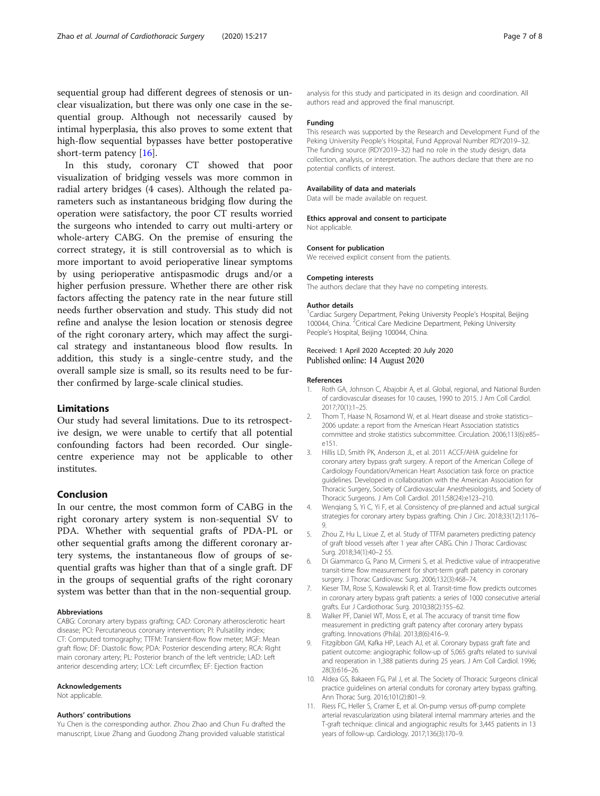<span id="page-6-0"></span>sequential group had different degrees of stenosis or unclear visualization, but there was only one case in the sequential group. Although not necessarily caused by intimal hyperplasia, this also proves to some extent that high-flow sequential bypasses have better postoperative short-term patency [\[16](#page-7-0)].

In this study, coronary CT showed that poor visualization of bridging vessels was more common in radial artery bridges (4 cases). Although the related parameters such as instantaneous bridging flow during the operation were satisfactory, the poor CT results worried the surgeons who intended to carry out multi-artery or whole-artery CABG. On the premise of ensuring the correct strategy, it is still controversial as to which is more important to avoid perioperative linear symptoms by using perioperative antispasmodic drugs and/or a higher perfusion pressure. Whether there are other risk factors affecting the patency rate in the near future still needs further observation and study. This study did not refine and analyse the lesion location or stenosis degree of the right coronary artery, which may affect the surgical strategy and instantaneous blood flow results. In addition, this study is a single-centre study, and the overall sample size is small, so its results need to be further confirmed by large-scale clinical studies.

## Limitations

Our study had several limitations. Due to its retrospective design, we were unable to certify that all potential confounding factors had been recorded. Our singlecentre experience may not be applicable to other institutes.

## Conclusion

In our centre, the most common form of CABG in the right coronary artery system is non-sequential SV to PDA. Whether with sequential grafts of PDA-PL or other sequential grafts among the different coronary artery systems, the instantaneous flow of groups of sequential grafts was higher than that of a single graft. DF in the groups of sequential grafts of the right coronary system was better than that in the non-sequential group.

#### Abbreviations

CABG: Coronary artery bypass grafting; CAD: Coronary atherosclerotic heart disease; PCI: Percutaneous coronary intervention; PI: Pulsatility index; CT: Computed tomography; TTFM: Transient-flow flow meter; MGF: Mean graft flow; DF: Diastolic flow; PDA: Posterior descending artery; RCA: Right main coronary artery; PL: Posterior branch of the left ventricle; LAD: Left anterior descending artery; LCX: Left circumflex; EF: Ejection fraction

#### Acknowledgements

Not applicable.

#### Authors' contributions

Yu Chen is the corresponding author. Zhou Zhao and Chun Fu drafted the manuscript, Lixue Zhang and Guodong Zhang provided valuable statistical

analysis for this study and participated in its design and coordination. All authors read and approved the final manuscript.

#### Funding

This research was supported by the Research and Development Fund of the Peking University People's Hospital, Fund Approval Number RDY2019–32. The funding source (RDY2019–32) had no role in the study design, data collection, analysis, or interpretation. The authors declare that there are no potential conflicts of interest.

#### Availability of data and materials

Data will be made available on request.

#### Ethics approval and consent to participate Not applicable.

### Consent for publication

We received explicit consent from the patients.

#### Competing interests

The authors declare that they have no competing interests.

#### Author details

<sup>1</sup> Cardiac Surgery Department, Peking University People's Hospital, Beijing 100044, China. <sup>2</sup>Critical Care Medicine Department, Peking University People's Hospital, Beijing 100044, China.

## Received: 1 April 2020 Accepted: 20 July 2020 Published online: 14 August 2020

#### References

- 1. Roth GA, Johnson C, Abajobir A, et al. Global, regional, and National Burden of cardiovascular diseases for 10 causes, 1990 to 2015. J Am Coll Cardiol. 2017;70(1):1–25.
- 2. Thom T, Haase N, Rosamond W, et al. Heart disease and stroke statistics-- 2006 update: a report from the American Heart Association statistics committee and stroke statistics subcommittee. Circulation. 2006;113(6):e85– e151.
- 3. Hillis LD, Smith PK, Anderson JL, et al. 2011 ACCF/AHA guideline for coronary artery bypass graft surgery. A report of the American College of Cardiology Foundation/American Heart Association task force on practice guidelines. Developed in collaboration with the American Association for Thoracic Surgery, Society of Cardiovascular Anesthesiologists, and Society of Thoracic Surgeons. J Am Coll Cardiol. 2011;58(24):e123–210.
- 4. Wenqiang S, Yi C, Yi F, et al. Consistency of pre-planned and actual surgical strategies for coronary artery bypass grafting. Chin J Circ. 2018;33(12):1176– 9.
- 5. Zhou Z, Hu L, Lixue Z, et al. Study of TTFM parameters predicting patency of graft blood vessels after 1 year after CABG. Chin J Thorac Cardiovasc Surg. 2018;34(1):40–2 55.
- 6. Di Giammarco G, Pano M, Cirmeni S, et al. Predictive value of intraoperative transit-time flow measurement for short-term graft patency in coronary surgery. J Thorac Cardiovasc Surg. 2006;132(3):468–74.
- Kieser TM, Rose S, Kowalewski R, et al. Transit-time flow predicts outcomes in coronary artery bypass graft patients: a series of 1000 consecutive arterial grafts. Eur J Cardiothorac Surg. 2010;38(2):155–62.
- 8. Walker PF, Daniel WT, Moss E, et al. The accuracy of transit time flow measurement in predicting graft patency after coronary artery bypass grafting. Innovations (Phila). 2013;8(6):416–9.
- 9. Fitzgibbon GM, Kafka HP, Leach AJ, et al. Coronary bypass graft fate and patient outcome: angiographic follow-up of 5,065 grafts related to survival and reoperation in 1,388 patients during 25 years. J Am Coll Cardiol. 1996; 28(3):616–26.
- 10. Aldea GS, Bakaeen FG, Pal J, et al. The Society of Thoracic Surgeons clinical practice guidelines on arterial conduits for coronary artery bypass grafting. Ann Thorac Surg. 2016;101(2):801–9.
- 11. Riess FC, Heller S, Cramer E, et al. On-pump versus off-pump complete arterial revascularization using bilateral internal mammary arteries and the T-graft technique: clinical and angiographic results for 3,445 patients in 13 years of follow-up. Cardiology. 2017;136(3):170–9.